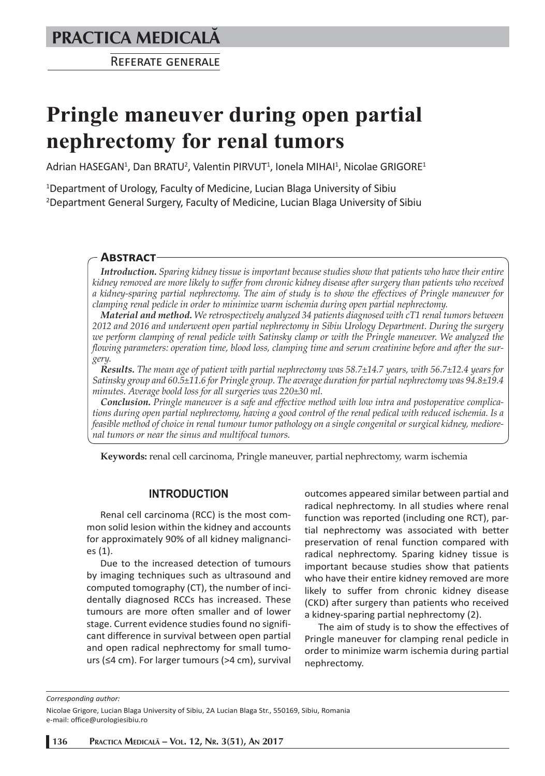# **PRACTICA MEDICALÅ**

REFERATE GENERALE

# **Pringle maneuver during open partial nephrectomy for renal tumors**

Adrian HASEGAN<sup>1</sup>, Dan BRATU<sup>2</sup>, Valentin PIRVUT<sup>1</sup>, Ionela MIHAI<sup>1</sup>, Nicolae GRIGORE<sup>1</sup>

1 Department of Urology, Faculty of Medicine, Lucian Blaga University of Sibiu 2 Department General Surgery, Faculty of Medicine, Lucian Blaga University of Sibiu

# **ABSTRACT**

*Introduction. Sparing kidney tissue is important because studies show that patients who have their entire kidney removed are more likely to suffer from chronic kidney disease after surgery than patients who received a kidney-sparing partial nephrectomy. The aim of study is to show the effectives of Pringle maneuver for clamping renal pedicle in order to minimize warm ischemia during open partial nephrectomy.*

*Material and method. We retrospectively analyzed 34 patients diagnosed with cT1 renal tumors between 2012 and 2016 and underwent open partial nephrectomy in Sibiu Urology Department. During the surgery we perform clamping of renal pedicle with Satinsky clamp or with the Pringle maneuver. We analyzed the flowing parameters: operation time, blood loss, clamping time and serum creatinine before and after the surgery.*

*Results. The mean age of patient with partial nephrectomy was 58.7±14.7 years, with 56.7±12.4 years for Satinsky group and 60.5±11.6 for Pringle group. The average duration for partial nephrectomy was 94.8±19.4 minutes. Average boold loss for all surgeries was 220±30 ml.*

*Conclusion. Pringle maneuver is a safe and effective method with low intra and postoperative complications during open partial nephrectomy, having a good control of the renal pedical with reduced ischemia. Is a feasible method of choice in renal tumour tumor pathology on a single congenital or surgical kidney, mediorenal tumors or near the sinus and multifocal tumors.*

**Keywords:** renal cell carcinoma, Pringle maneuver, partial nephrectomy, warm ischemia

### **INTRODUCTION**

Renal cell carcinoma (RCC) is the most common solid lesion within the kidney and accounts for approximately 90% of all kidney malignancies (1).

Due to the increased detection of tumours by imaging techniques such as ultrasound and computed tomography (CT), the number of incidentally diagnosed RCCs has increased. These tumours are more often smaller and of lower stage. Current evidence studies found no significant difference in survival between open partial and open radical nephrectomy for small tumours (≤4 cm). For larger tumours (>4 cm), survival outcomes appeared similar between partial and radical nephrectomy. In all studies where renal function was reported (including one RCT), partial nephrectomy was associated with better preservation of renal function compared with radical nephrectomy. Sparing kidney tissue is important because studies show that patients who have their entire kidney removed are more likely to suffer from chronic kidney disease (CKD) after surgery than patients who received a kidney-sparing partial nephrectomy (2).

The aim of study is to show the effectives of Pringle maneuver for clamping renal pedicle in order to minimize warm ischemia during partial nephrectomy.

*Corresponding author:* 

Nicolae Grigore, Lucian Blaga University of Sibiu, 2A Lucian Blaga Str., 550169, Sibiu, Romania e-mail: office@urologiesibiu.ro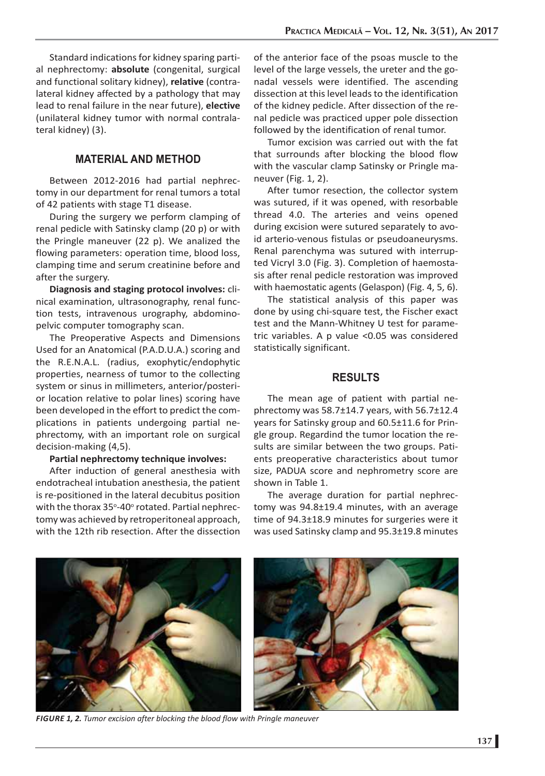Standard indications for kidney sparing partial nephrectomy: **absolute** (congenital, surgical and functional solitary kidney), **relative** (contralateral kidney affected by a pathology that may lead to renal failure in the near future), **elective** (unilateral kidney tumor with normal contralateral kidney) (3).

## **MATERIAL AND METHOD**

Between 2012-2016 had partial nephrectomy in our department for renal tumors a total of 42 patients with stage T1 disease.

During the surgery we perform clamping of renal pedicle with Satinsky clamp (20 p) or with the Pringle maneuver (22 p). We analized the flowing parameters: operation time, blood loss, clamping time and serum creatinine before and after the surgery.

**Diagnosis and staging protocol involves:** clinical examination, ultrasonography, renal function tests, intravenous urography, abdominopelvic computer tomography scan.

The Preoperative Aspects and Dimensions Used for an Anatomical (P.A.D.U.A.) scoring and the R.E.N.A.L. (radius, exophytic/endophytic properties, nearness of tumor to the collecting system or sinus in millimeters, anterior/posterior location relative to polar lines) scoring have been developed in the effort to predict the complications in patients undergoing partial nephrectomy, with an important role on surgical decision-making (4,5).

#### **Partial nephrectomy technique involves:**

After induction of general anesthesia with endotracheal intubation anesthesia, the patient is re-positioned in the lateral decubitus position with the thorax 35°-40° rotated. Partial nephrectomy was achieved by retroperitoneal approach, with the 12th rib resection. After the dissection

of the anterior face of the psoas muscle to the level of the large vessels, the ureter and the gonadal vessels were identified. The ascending dissection at this level leads to the identification of the kidney pedicle. After dissection of the renal pedicle was practiced upper pole dissection followed by the identification of renal tumor.

Tumor excision was carried out with the fat that surrounds after blocking the blood flow with the vascular clamp Satinsky or Pringle maneuver (Fig. 1, 2).

After tumor resection, the collector system was sutured, if it was opened, with resorbable thread 4.0. The arteries and veins opened during excision were sutured separately to avoid arterio-venous fistulas or pseudoaneurysms. Renal parenchyma was sutured with interrupted Vicryl 3.0 (Fig. 3). Completion of haemostasis after renal pedicle restoration was improved with haemostatic agents (Gelaspon) (Fig. 4, 5, 6).

The statistical analysis of this paper was done by using chi-square test, the Fischer exact test and the Mann-Whitney U test for parametric variables. A p value <0.05 was considered statistically significant.

#### **RESULTS**

The mean age of patient with partial nephrectomy was 58.7±14.7 years, with 56.7±12.4 years for Satinsky group and 60.5±11.6 for Pringle group. Regardind the tumor location the results are similar between the two groups. Patients preoperative characteristics about tumor size, PADUA score and nephrometry score are shown in Table 1.

The average duration for partial nephrectomy was 94.8±19.4 minutes, with an average time of 94.3±18.9 minutes for surgeries were it was used Satinsky clamp and 95.3±19.8 minutes



*FIGURE 1, 2. Tumor excision after blocking the blood flow with Pringle maneuver*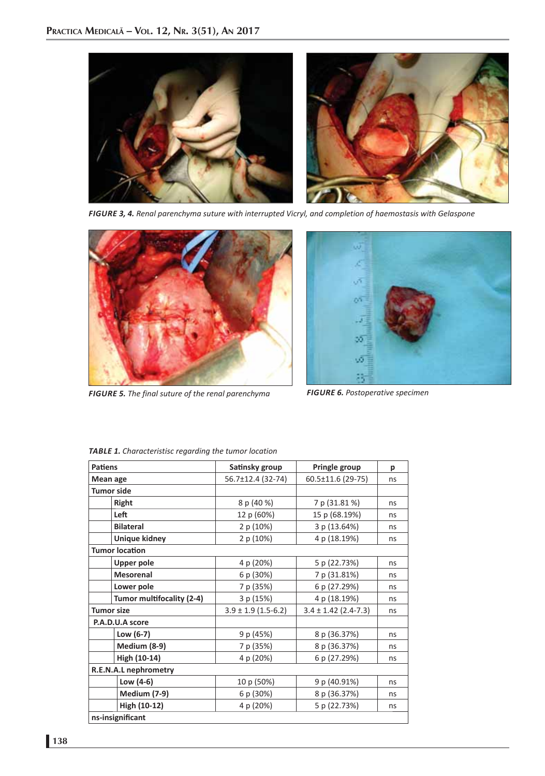

*FIGURE 3, 4. Renal parenchyma suture with interrupted Vicryl, and completion of haemostasis with Gelaspone*



*FIGURE 5. The final suture of the renal parenchyma FIGURE 6. Postoperative specimen*



| <b>Patiens</b>            | Satinsky group          | Pringle group            | р  |
|---------------------------|-------------------------|--------------------------|----|
| Mean age                  | 56.7±12.4 (32-74)       | 60.5±11.6 (29-75)        | ns |
| <b>Tumor side</b>         |                         |                          |    |
| <b>Right</b>              | 8 p (40 %)              | 7 p (31.81 %)            | ns |
| Left                      | 12 p (60%)              | 15 p (68.19%)            | ns |
| <b>Bilateral</b>          | 2 p (10%)               | 3 p (13.64%)             | ns |
| <b>Unique kidney</b>      | 2 p (10%)               | 4 p (18.19%)             | ns |
| <b>Tumor location</b>     |                         |                          |    |
| <b>Upper pole</b>         | 4 p (20%)               | 5 p (22.73%)             | ns |
| <b>Mesorenal</b>          | 6 p (30%)               | 7 p (31.81%)             | ns |
| Lower pole                | 7 p (35%)               | 6 p (27.29%)             | ns |
| Tumor multifocality (2-4) | 3 p (15%)               | 4 p (18.19%)             | ns |
| <b>Tumor size</b>         | $3.9 \pm 1.9$ (1.5-6.2) | $3.4 \pm 1.42$ (2.4-7.3) | ns |
| P.A.D.U.A score           |                         |                          |    |
| Low $(6-7)$               | 9 p (45%)               | 8 p (36.37%)             | ns |
| Medium (8-9)              | 7 p (35%)               | 8 p (36.37%)             | ns |
| High (10-14)              | 4 p (20%)               | 6 p (27.29%)             | ns |
| R.E.N.A.L nephrometry     |                         |                          |    |
| Low (4-6)                 | 10 p (50%)              | 9 p (40.91%)             | ns |
| <b>Medium (7-9)</b>       | 6 p (30%)               | 8 p (36.37%)             | ns |
| High (10-12)              | 4 p (20%)               | 5 p (22.73%)             | ns |
| ns-insignificant          |                         |                          |    |

*TABLE 1. Characteristisc regarding the tumor location*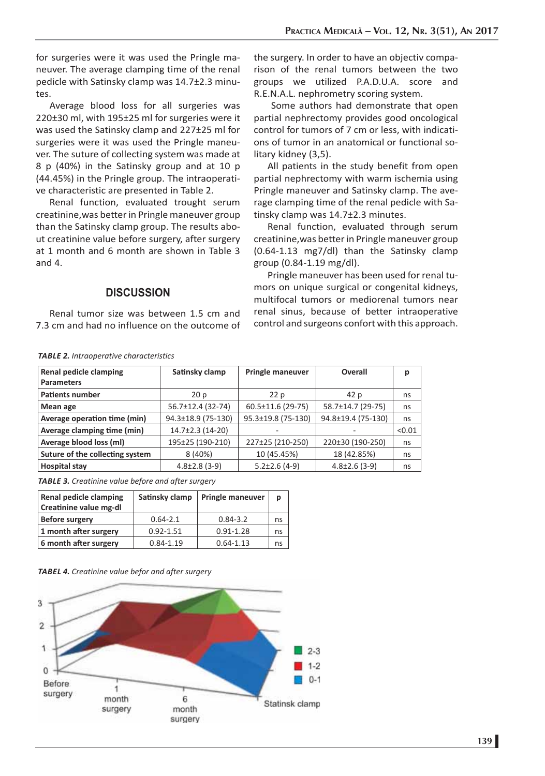for surgeries were it was used the Pringle maneuver. The average clamping time of the renal pedicle with Satinsky clamp was 14.7±2.3 minutes.

Average blood loss for all surgeries was 220±30 ml, with 195±25 ml for surgeries were it was used the Satinsky clamp and 227±25 ml for surgeries were it was used the Pringle maneuver. The suture of collecting system was made at 8 p (40%) in the Satinsky group and at 10 p (44.45%) in the Pringle group. The intraoperative characteristic are presented in Table 2.

Renal function, evaluated trought serum creatinine,was better in Pringle maneuver group than the Satinsky clamp group. The results about creatinine value before surgery, after surgery at 1 month and 6 month are shown in Table 3 and 4.

the surgery. In order to have an objectiv comparison of the renal tumors between the two groups we utilized P.A.D.U.A. score and R.E.N.A.L. nephrometry scoring system.

 Some authors had demonstrate that open partial nephrectomy provides good oncological control for tumors of 7 cm or less, with indications of tumor in an anatomical or functional solitary kidney (3,5).

All patients in the study benefit from open partial nephrectomy with warm ischemia using Pringle maneuver and Satinsky clamp. The average clamping time of the renal pedicle with Satinsky clamp was 14.7±2.3 minutes.

Renal function, evaluated through serum creatinine,was better in Pringle maneuver group (0.64-1.13 mg7/dl) than the Satinsky clamp group (0.84-1.19 mg/dl).

Pringle maneuver has been used for renal tumors on unique surgical or congenital kidneys, multifocal tumors or mediorenal tumors near renal sinus, because of better intraoperative control and surgeons confort with this approach.

### **DISCUSSION**

Renal tumor size was between 1.5 cm and 7.3 cm and had no influence on the outcome of

*TABLE 2. Intraoperative characteristics*

| Renal pedicle clamping<br><b>Parameters</b> | Satinsky clamp      | <b>Pringle maneuver</b> | Overall             | р      |
|---------------------------------------------|---------------------|-------------------------|---------------------|--------|
| <b>Patients number</b>                      | 20p                 | 22p                     | 42 p                | ns     |
| Mean age                                    | 56.7±12.4 (32-74)   | 60.5±11.6 (29-75)       | 58.7±14.7 (29-75)   | ns     |
| Average operation time (min)                | 94.3±18.9 (75-130)  | 95.3±19.8 (75-130)      | 94.8±19.4 (75-130)  | ns     |
| Average clamping time (min)                 | 14.7±2.3 (14-20)    |                         |                     | < 0.01 |
| Average blood loss (ml)                     | 195±25 (190-210)    | 227±25 (210-250)        | 220±30 (190-250)    | ns     |
| Suture of the collecting system             | 8(40%)              | 10 (45.45%)             | 18 (42.85%)         | ns     |
| <b>Hospital stay</b>                        | $4.8 \pm 2.8$ (3-9) | $5.2 \pm 2.6$ (4-9)     | $4.8 \pm 2.6$ (3-9) | ns     |

*TABLE 3. Creatinine value before and after surgery*

| Renal pedicle clamping<br>Creatinine value mg-dl | Satinsky clamp | <b>Pringle maneuver</b> | р  |
|--------------------------------------------------|----------------|-------------------------|----|
| <b>Before surgery</b>                            | $0.64 - 2.1$   | $0.84 - 3.2$            | ns |
| 1 month after surgery                            | $0.92 - 1.51$  | $0.91 - 1.28$           | ns |
| 6 month after surgery                            | $0.84 - 1.19$  | $0.64 - 1.13$           | ns |

#### *TABEL 4. Creatinine value befor and after surgery*